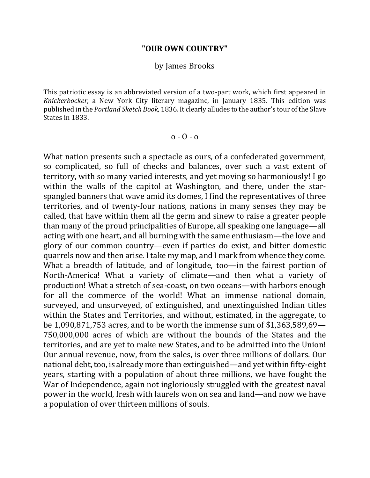## **"OUR OWN COUNTRY"**

## by James Brooks

This patriotic essay is an abbreviated version of a two-part work, which first appeared in *Knickerbocker*, a New York City literary magazine, in January 1835. This edition was published in the *Portland Sketch Book*, 1836. It clearly alludes to the author's tour of the Slave States in 1833.

$$
0 - 0 - 0
$$

What nation presents such a spectacle as ours, of a confederated government, so complicated, so full of checks and balances, over such a vast extent of territory, with so many varied interests, and yet moving so harmoniously! I go within the walls of the capitol at Washington, and there, under the starspangled banners that wave amid its domes, I find the representatives of three territories, and of twenty-four nations, nations in many senses they may be called, that have within them all the germ and sinew to raise a greater people than many of the proud principalities of Europe, all speaking one language—all acting with one heart, and all burning with the same enthusiasm—the love and glory of our common country—even if parties do exist, and bitter domestic quarrels now and then arise. I take my map, and I mark from whence they come. What a breadth of latitude, and of longitude, too—in the fairest portion of North-America! What a variety of climate—and then what a variety of production! What a stretch of sea-coast, on two oceans—with harbors enough for all the commerce of the world! What an immense national domain, surveyed, and unsurveyed, of extinguished, and unextinguished Indian titles within the States and Territories, and without, estimated, in the aggregate, to be  $1,090,871,753$  acres, and to be worth the immense sum of \$1,363,589,69— 750,000,000 acres of which are without the bounds of the States and the territories, and are yet to make new States, and to be admitted into the Union! Our annual revenue, now, from the sales, is over three millions of dollars. Our national debt, too, is already more than extinguished—and yet within fifty-eight years, starting with a population of about three millions, we have fought the War of Independence, again not ingloriously struggled with the greatest naval power in the world, fresh with laurels won on sea and land—and now we have a population of over thirteen millions of souls.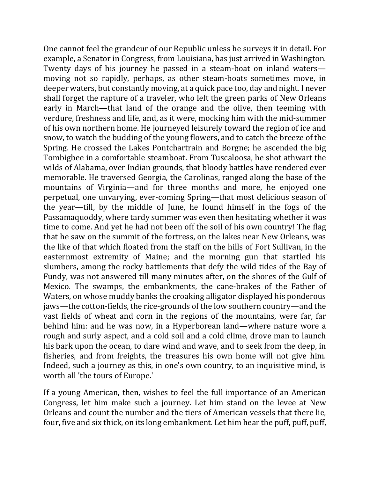One cannot feel the grandeur of our Republic unless he surveys it in detail. For example, a Senator in Congress, from Louisiana, has just arrived in Washington. Twenty days of his journey he passed in a steam-boat on inland waters moving not so rapidly, perhaps, as other steam-boats sometimes move, in deeper waters, but constantly moving, at a quick pace too, day and night. I never shall forget the rapture of a traveler, who left the green parks of New Orleans early in March—that land of the orange and the olive, then teeming with verdure, freshness and life, and, as it were, mocking him with the mid-summer of his own northern home. He journeyed leisurely toward the region of ice and snow, to watch the budding of the young flowers, and to catch the breeze of the Spring. He crossed the Lakes Pontchartrain and Borgne; he ascended the big Tombigbee in a comfortable steamboat. From Tuscaloosa, he shot athwart the wilds of Alabama, over Indian grounds, that bloody battles have rendered ever memorable. He traversed Georgia, the Carolinas, ranged along the base of the mountains of Virginia—and for three months and more, he enjoyed one perpetual, one unvarying, ever-coming Spring—that most delicious season of the year—till, by the middle of June, he found himself in the fogs of the Passamaquoddy, where tardy summer was even then hesitating whether it was time to come. And yet he had not been off the soil of his own country! The flag that he saw on the summit of the fortress, on the lakes near New Orleans, was the like of that which floated from the staff on the hills of Fort Sullivan, in the easternmost extremity of Maine; and the morning gun that startled his slumbers, among the rocky battlements that defy the wild tides of the Bay of Fundy, was not answered till many minutes after, on the shores of the Gulf of Mexico. The swamps, the embankments, the cane-brakes of the Father of Waters, on whose muddy banks the croaking alligator displayed his ponderous jaws—the cotton-fields, the rice-grounds of the low southern country—and the vast fields of wheat and corn in the regions of the mountains, were far, far behind him: and he was now, in a Hyperborean land—where nature wore a rough and surly aspect, and a cold soil and a cold clime, drove man to launch his bark upon the ocean, to dare wind and wave, and to seek from the deep, in fisheries, and from freights, the treasures his own home will not give him. Indeed, such a journey as this, in one's own country, to an inquisitive mind, is worth all 'the tours of Europe.'

If a young American, then, wishes to feel the full importance of an American Congress, let him make such a journey. Let him stand on the levee at New Orleans and count the number and the tiers of American vessels that there lie, four, five and six thick, on its long embankment. Let him hear the puff, puff, puff,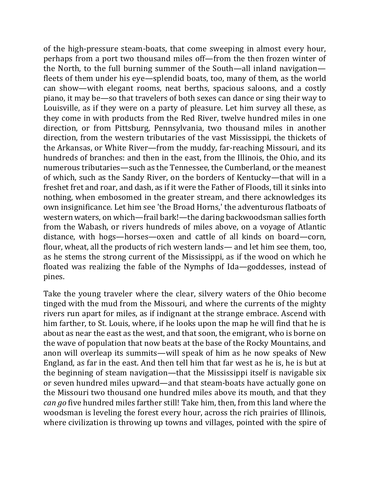of the high-pressure steam-boats, that come sweeping in almost every hour, perhaps from a port two thousand miles off—from the then frozen winter of the North, to the full burning summer of the South—all inland navigation fleets of them under his eye—splendid boats, too, many of them, as the world can show—with elegant rooms, neat berths, spacious saloons, and a costly piano, it may be—so that travelers of both sexes can dance or sing their way to Louisville, as if they were on a party of pleasure. Let him survey all these, as they come in with products from the Red River, twelve hundred miles in one direction, or from Pittsburg, Pennsylvania, two thousand miles in another direction, from the western tributaries of the vast Mississippi, the thickets of the Arkansas, or White River—from the muddy, far-reaching Missouri, and its hundreds of branches: and then in the east, from the Illinois, the Ohio, and its numerous tributaries—such as the Tennessee, the Cumberland, or the meanest of which, such as the Sandy River, on the borders of Kentucky—that will in a freshet fret and roar, and dash, as if it were the Father of Floods, till it sinks into nothing, when embosomed in the greater stream, and there acknowledges its own insignificance. Let him see 'the Broad Horns,' the adventurous flatboats of western waters, on which—frail bark!—the daring backwoodsman sallies forth from the Wabash, or rivers hundreds of miles above, on a voyage of Atlantic distance, with hogs—horses—oxen and cattle of all kinds on board—corn, flour, wheat, all the products of rich western lands— and let him see them, too, as he stems the strong current of the Mississippi, as if the wood on which he floated was realizing the fable of the Nymphs of Ida—goddesses, instead of pines. 

Take the young traveler where the clear, silvery waters of the Ohio become tinged with the mud from the Missouri, and where the currents of the mighty rivers run apart for miles, as if indignant at the strange embrace. Ascend with him farther, to St. Louis, where, if he looks upon the map he will find that he is about as near the east as the west, and that soon, the emigrant, who is borne on the wave of population that now beats at the base of the Rocky Mountains, and anon will overleap its summits—will speak of him as he now speaks of New England, as far in the east. And then tell him that far west as he is, he is but at the beginning of steam navigation—that the Mississippi itself is navigable six or seven hundred miles upward—and that steam-boats have actually gone on the Missouri two thousand one hundred miles above its mouth, and that they *can go* five hundred miles farther still! Take him, then, from this land where the woodsman is leveling the forest every hour, across the rich prairies of Illinois, where civilization is throwing up towns and villages, pointed with the spire of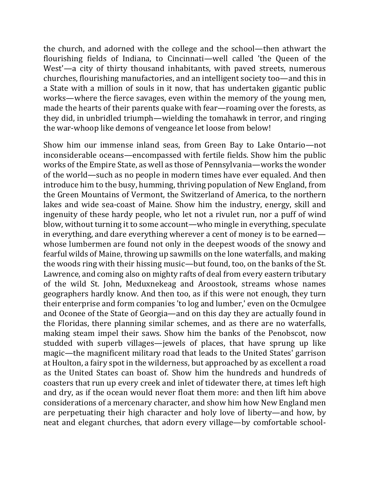the church, and adorned with the college and the school—then athwart the flourishing fields of Indiana, to Cincinnati—well called 'the Queen of the West'—a city of thirty thousand inhabitants, with paved streets, numerous churches, flourishing manufactories, and an intelligent society too—and this in a State with a million of souls in it now, that has undertaken gigantic public works—where the fierce savages, even within the memory of the young men, made the hearts of their parents quake with fear—roaming over the forests, as they did, in unbridled triumph—wielding the tomahawk in terror, and ringing the war-whoop like demons of vengeance let loose from below!

Show him our immense inland seas, from Green Bay to Lake Ontario—not inconsiderable oceans—encompassed with fertile fields. Show him the public works of the Empire State, as well as those of Pennsylvania—works the wonder of the world—such as no people in modern times have ever equaled. And then introduce him to the busy, humming, thriving population of New England, from the Green Mountains of Vermont, the Switzerland of America, to the northern lakes and wide sea-coast of Maine. Show him the industry, energy, skill and ingenuity of these hardy people, who let not a rivulet run, nor a puff of wind blow, without turning it to some account—who mingle in everything, speculate in everything, and dare everything wherever a cent of money is to be earned whose lumbermen are found not only in the deepest woods of the snowy and fearful wilds of Maine, throwing up sawmills on the lone waterfalls, and making the woods ring with their hissing music—but found, too, on the banks of the St. Lawrence, and coming also on mighty rafts of deal from every eastern tributary of the wild St. John, Meduxnekeag and Aroostook, streams whose names geographers hardly know. And then too, as if this were not enough, they turn their enterprise and form companies 'to log and lumber,' even on the Ocmulgee and Oconee of the State of Georgia—and on this day they are actually found in the Floridas, there planning similar schemes, and as there are no waterfalls, making steam impel their saws. Show him the banks of the Penobscot, now studded with superb villages—jewels of places, that have sprung up like magic—the magnificent military road that leads to the United States' garrison at Houlton, a fairy spot in the wilderness, but approached by as excellent a road as the United States can boast of. Show him the hundreds and hundreds of coasters that run up every creek and inlet of tidewater there, at times left high and dry, as if the ocean would never float them more: and then lift him above considerations of a mercenary character, and show him how New England men are perpetuating their high character and holy love of liberty—and how, by neat and elegant churches, that adorn every village—by comfortable school-